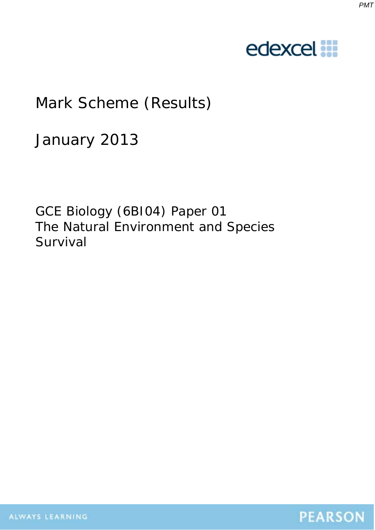

# Mark Scheme (Results)

January 2013

GCE Biology (6BI04) Paper 01 The Natural Environment and Species Survival

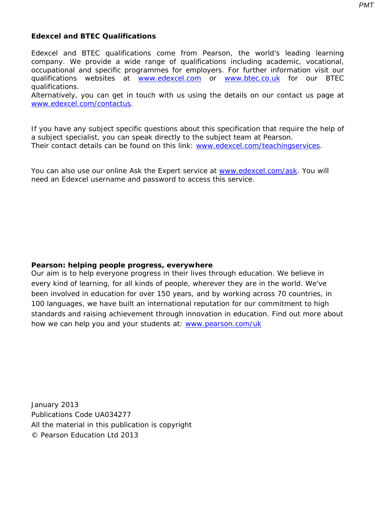#### **Edexcel and BTEC Qualifications**

Edexcel and BTEC qualifications come from Pearson, the world's leading learning company. We provide a wide range of qualifications including academic, vocational, occupational and specific programmes for employers. For further information visit our qualifications websites at www.edexcel.com or www.btec.co.uk for our BTEC qualifications.

Alternatively, you can get in touch with us using the details on our contact us page at www.edexcel.com/contactus.

If you have any subject specific questions about this specification that require the help of a subject specialist, you can speak directly to the subject team at Pearson. Their contact details can be found on this link: www.edexcel.com/teachingservices.

You can also use our online Ask the Expert service at www.edexcel.com/ask. You will need an Edexcel username and password to access this service.

## **Pearson: helping people progress, everywhere**

Our aim is to help everyone progress in their lives through education. We believe in every kind of learning, for all kinds of people, wherever they are in the world. We've been involved in education for over 150 years, and by working across 70 countries, in 100 languages, we have built an international reputation for our commitment to high standards and raising achievement through innovation in education. Find out more about how we can help you and your students at: www.pearson.com/uk

January 2013 Publications Code UA034277 All the material in this publication is copyright © Pearson Education Ltd 2013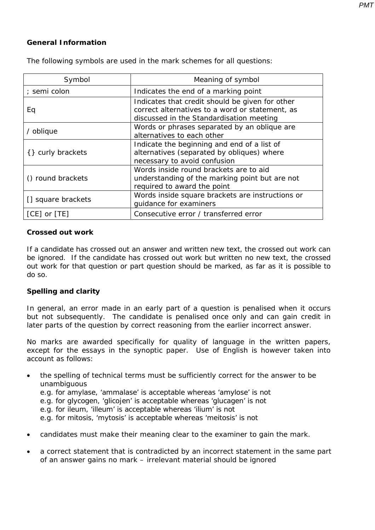## **General Information**

The following symbols are used in the mark schemes for all questions:

| Symbol             | Meaning of symbol                                                                                                                              |
|--------------------|------------------------------------------------------------------------------------------------------------------------------------------------|
| ; semi colon       | Indicates the end of a marking point                                                                                                           |
| Eq                 | Indicates that credit should be given for other<br>correct alternatives to a word or statement, as<br>discussed in the Standardisation meeting |
| / oblique          | Words or phrases separated by an oblique are<br>alternatives to each other                                                                     |
| { } curly brackets | Indicate the beginning and end of a list of<br>alternatives (separated by obliques) where<br>necessary to avoid confusion                      |
| () round brackets  | Words inside round brackets are to aid<br>understanding of the marking point but are not<br>required to award the point                        |
| [] square brackets | Words inside square brackets are instructions or<br>guidance for examiners                                                                     |
| $[CE]$ or $[TE]$   | Consecutive error / transferred error                                                                                                          |

## **Crossed out work**

If a candidate has crossed out an answer and written new text, the crossed out work can be ignored. If the candidate has crossed out work but written no new text, the crossed out work for that question or part question should be marked, as far as it is possible to do so.

### **Spelling and clarity**

In general, an error made in an early part of a question is penalised when it occurs but not subsequently. The candidate is penalised once only and can gain credit in later parts of the question by correct reasoning from the earlier incorrect answer.

No marks are awarded specifically for quality of language in the written papers, except for the essays in the synoptic paper. Use of English is however taken into account as follows:

- the spelling of technical terms must be sufficiently correct for the answer to be unambiguous
	- e.g. for amylase, 'ammalase' is acceptable whereas 'amylose' is not
	- e.g. for glycogen, 'glicojen' is acceptable whereas 'glucagen' is not
	- e.g. for ileum, 'illeum' is acceptable whereas 'ilium' is not
	- e.g. for mitosis, 'mytosis' is acceptable whereas 'meitosis' is not
- candidates must make their meaning clear to the examiner to gain the mark.
- a correct statement that is contradicted by an incorrect statement in the same part of an answer gains no mark – irrelevant material should be ignored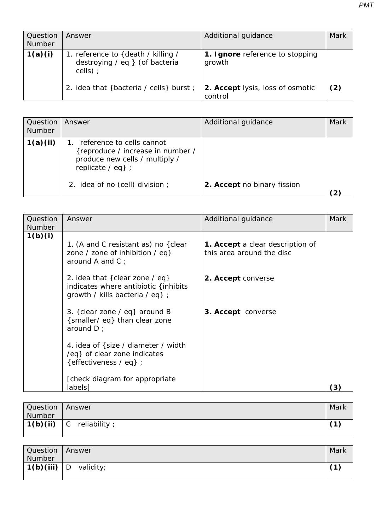| Question<br><b>Number</b> | Answer                                                                             | Additional guidance                         | <b>Mark</b> |
|---------------------------|------------------------------------------------------------------------------------|---------------------------------------------|-------------|
| 1(a)(i)                   | 1. reference to {death / killing /<br>destroying / eq } (of bacteria<br>$cells)$ ; | 1. Ignore reference to stopping<br>growth   |             |
|                           | 2. idea that {bacteria / cells} burst ;                                            | 2. Accept lysis, loss of osmotic<br>control | (2)         |

| Question<br><b>Number</b> | Answer                                                                                                                     | Additional guidance         | Mark |
|---------------------------|----------------------------------------------------------------------------------------------------------------------------|-----------------------------|------|
| 1(a)(ii)                  | reference to cells cannot<br>{reproduce / increase in number /<br>produce new cells / multiply /<br>replicate $\ell$ eq} ; |                             |      |
|                           | 2. idea of no (cell) division;                                                                                             | 2. Accept no binary fission |      |

| Question                 | Answer                                                                                                         | Additional guidance                                           | Mark |
|--------------------------|----------------------------------------------------------------------------------------------------------------|---------------------------------------------------------------|------|
| <b>Number</b><br>1(b)(i) |                                                                                                                |                                                               |      |
|                          | 1. (A and C resistant as) no {clear<br>zone / zone of inhibition / eq}<br>around A and C $\cdot$               | 1. Accept a clear description of<br>this area around the disc |      |
|                          | 2. idea that {clear zone $\ell$ eq}<br>indicates where antibiotic {inhibits<br>growth / kills bacteria / eq} ; | 2. Accept converse                                            |      |
|                          | 3. {clear zone / eq} around B<br>{smaller/eq} than clear zone<br>around $D$ :                                  | 3. Accept converse                                            |      |
|                          | 4. idea of { size / diameter / width<br>/eq} of clear zone indicates<br>{effectiveness $\ell$ eq} ;            |                                                               |      |
|                          | [check diagram for appropriate<br>labels]                                                                      |                                                               | 3    |

| Question<br>Number | Answer                        | Mark       |
|--------------------|-------------------------------|------------|
| 1(b)(ii)           | $\mathsf{C}$<br>reliability ; | $\sqrt{1}$ |
|                    |                               |            |

| Question  | Answer         | Mark       |
|-----------|----------------|------------|
| Number    |                |            |
| 1(b)(iii) | D<br>validity; | $\sqrt{1}$ |
|           |                |            |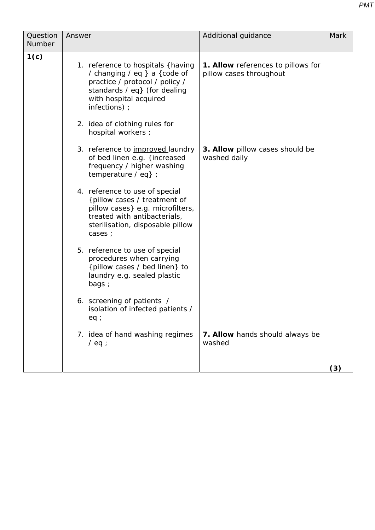| Question<br>Number | Answer                                                                                                                                                                                                                                 | Additional guidance                                           | Mark |
|--------------------|----------------------------------------------------------------------------------------------------------------------------------------------------------------------------------------------------------------------------------------|---------------------------------------------------------------|------|
| 1(c)               | 1. reference to hospitals {having}<br>/ changing / eq } a {code of<br>practice / protocol / policy /<br>standards / eq} (for dealing<br>with hospital acquired<br>infections) ;<br>2. idea of clothing rules for<br>hospital workers ; | 1. Allow references to pillows for<br>pillow cases throughout |      |
|                    | 3. reference to improved laundry<br>of bed linen e.g. {increased<br>frequency / higher washing<br>temperature $\ell$ eq} ;                                                                                                             | 3. Allow pillow cases should be<br>washed daily               |      |
|                    | 4. reference to use of special<br>{pillow cases / treatment of<br>pillow cases} e.g. microfilters,<br>treated with antibacterials,<br>sterilisation, disposable pillow<br>cases ;                                                      |                                                               |      |
|                    | 5. reference to use of special<br>procedures when carrying<br>{pillow cases / bed linen} to<br>laundry e.g. sealed plastic<br>bags;                                                                                                    |                                                               |      |
|                    | 6. screening of patients /<br>isolation of infected patients /<br>eq:                                                                                                                                                                  |                                                               |      |
|                    | 7. idea of hand washing regimes<br>$/$ eq ;                                                                                                                                                                                            | 7. Allow hands should always be<br>washed                     |      |
|                    |                                                                                                                                                                                                                                        |                                                               | (3)  |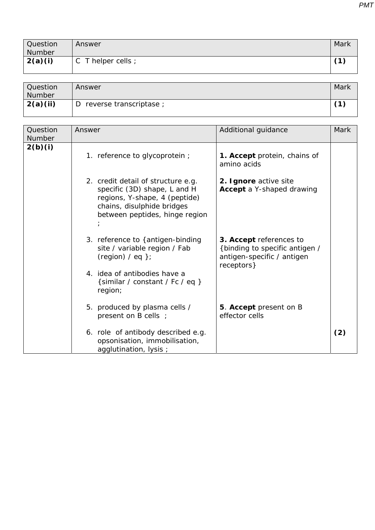| Question<br>Number | Answer                          | Mark       |
|--------------------|---------------------------------|------------|
| 2(a)(i)            | $\sim$<br>T helper cells ;<br>◡ | $\sqrt{4}$ |

| <b>Question</b> | Answer                       | Mark |
|-----------------|------------------------------|------|
| Number          |                              |      |
| 2(a)(ii)        | reverse transcriptase ;<br>D | 71   |

| Question<br>Number | Answer                                                                                                                                                              | Additional guidance                                                                                    | Mark |
|--------------------|---------------------------------------------------------------------------------------------------------------------------------------------------------------------|--------------------------------------------------------------------------------------------------------|------|
| 2(b)(i)            | 1. reference to glycoprotein;                                                                                                                                       | 1. Accept protein, chains of<br>amino acids                                                            |      |
|                    | 2. credit detail of structure e.g.<br>specific (3D) shape, L and H<br>regions, Y-shape, 4 (peptide)<br>chains, disulphide bridges<br>between peptides, hinge region | 2. Ignore active site<br><b>Accept</b> a Y-shaped drawing                                              |      |
|                    | 3. reference to { antigen-binding<br>site / variable region / Fab<br>$^{\prime}$ (region) / eq };                                                                   | 3. Accept references to<br>{binding to specific antigen /<br>antigen-specific / antigen<br>receptors } |      |
|                    | 4. idea of antibodies have a<br>{similar / constant / Fc / eq }<br>region;                                                                                          |                                                                                                        |      |
|                    | 5. produced by plasma cells /<br>present on B cells ;                                                                                                               | 5. Accept present on B<br>effector cells                                                               |      |
|                    | 6. role of antibody described e.g.<br>opsonisation, immobilisation,<br>agglutination, lysis ;                                                                       |                                                                                                        | (2)  |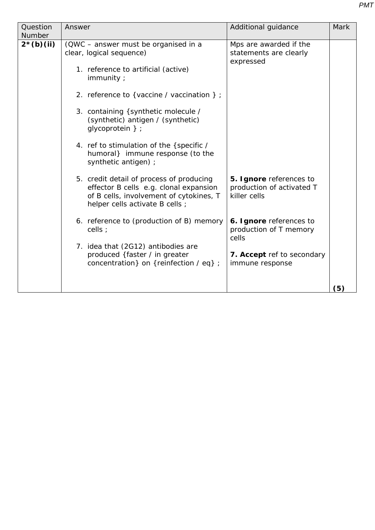| Question<br>Number | Answer                                                                                                                                                                                                                                                                                                                                                                                                                                                                                                                                                                                                                                                                        | Additional guidance                                                                                                                                                                                                               | <b>Mark</b> |
|--------------------|-------------------------------------------------------------------------------------------------------------------------------------------------------------------------------------------------------------------------------------------------------------------------------------------------------------------------------------------------------------------------------------------------------------------------------------------------------------------------------------------------------------------------------------------------------------------------------------------------------------------------------------------------------------------------------|-----------------------------------------------------------------------------------------------------------------------------------------------------------------------------------------------------------------------------------|-------------|
| $2*(b)(ii)$        | (QWC - answer must be organised in a<br>clear, logical sequence)<br>1. reference to artificial (active)<br>immunity;<br>2. reference to {vaccine / vaccination } ;<br>3. containing { synthetic molecule /<br>(synthetic) antigen / (synthetic)<br>glycoprotein } ;<br>4. ref to stimulation of the {specific /<br>humoral} immune response (to the<br>synthetic antigen) ;<br>5. credit detail of process of producing<br>effector B cells e.g. clonal expansion<br>of B cells, involvement of cytokines, T<br>helper cells activate B cells ;<br>6. reference to (production of B) memory<br>cells ;<br>7. idea that (2G12) antibodies are<br>produced {faster / in greater | Mps are awarded if the<br>statements are clearly<br>expressed<br>5. Ignore references to<br>production of activated T<br>killer cells<br>6. Ignore references to<br>production of T memory<br>cells<br>7. Accept ref to secondary |             |
|                    | concentration} on {reinfection / eq} ;                                                                                                                                                                                                                                                                                                                                                                                                                                                                                                                                                                                                                                        | immune response                                                                                                                                                                                                                   |             |
|                    |                                                                                                                                                                                                                                                                                                                                                                                                                                                                                                                                                                                                                                                                               |                                                                                                                                                                                                                                   | (5)         |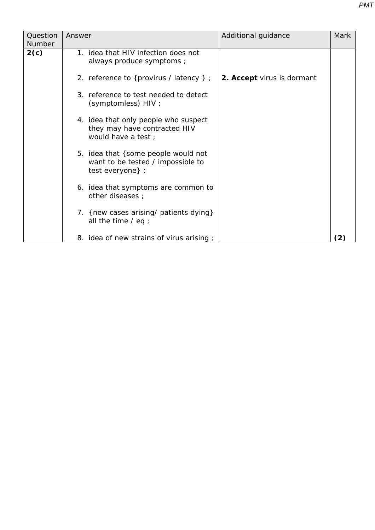| Question<br>Number | Answer                                                                                       | Additional guidance        | <b>Mark</b> |
|--------------------|----------------------------------------------------------------------------------------------|----------------------------|-------------|
| 2(c)               | 1. idea that HIV infection does not<br>always produce symptoms ;                             |                            |             |
|                    | 2. reference to {provirus / latency } ;                                                      | 2. Accept virus is dormant |             |
|                    | 3. reference to test needed to detect<br>(symptomless) HIV ;                                 |                            |             |
|                    | 4. idea that only people who suspect<br>they may have contracted HIV<br>would have a test;   |                            |             |
|                    | 5. idea that {some people would not<br>want to be tested / impossible to<br>test everyone }; |                            |             |
|                    | 6. idea that symptoms are common to<br>other diseases ;                                      |                            |             |
|                    | 7. {new cases arising/ patients dying}<br>all the time $\ell$ eq ;                           |                            |             |
|                    | 8. idea of new strains of virus arising;                                                     |                            |             |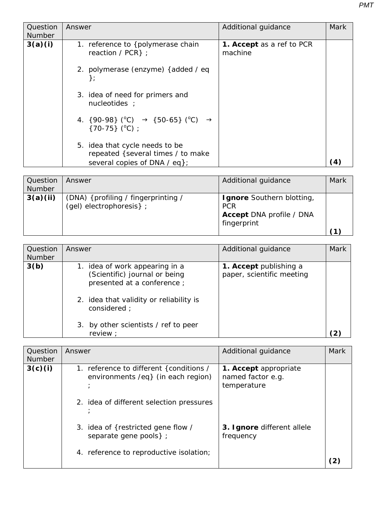| Question<br>Number | Answer                                                                                              | Additional guidance                  | <b>Mark</b> |
|--------------------|-----------------------------------------------------------------------------------------------------|--------------------------------------|-------------|
| 3(a)(i)            | 1. reference to {polymerase chain<br>reaction / $PCR$ } ;                                           | 1. Accept as a ref to PCR<br>machine |             |
|                    | 2. polymerase (enzyme) {added / eq<br>$\cdot$                                                       |                                      |             |
|                    | 3. idea of need for primers and<br>nucleotides :                                                    |                                      |             |
|                    | 4. $\{90-98\}$ (°C) $\rightarrow$ $\{50-65\}$ (°C) $\rightarrow$<br>$(70-75)$ (°C);                 |                                      |             |
|                    | 5. idea that cycle needs to be<br>repeated {several times / to make<br>several copies of DNA / eq}; |                                      | (4)         |

| Question<br><b>Number</b> | Answer                                                           | Additional guidance                                                                              | Mark |
|---------------------------|------------------------------------------------------------------|--------------------------------------------------------------------------------------------------|------|
| 3(a)(ii)                  | (DNA) { profiling / fingerprinting /<br>(gel) electrophoresis }; | <b>Ignore</b> Southern blotting,<br><b>PCR</b><br><b>Accept DNA profile / DNA</b><br>fingerprint |      |

| Question<br><b>Number</b> | Answer                                                                                                                                                                                           | Additional guidance                                 | Mark |
|---------------------------|--------------------------------------------------------------------------------------------------------------------------------------------------------------------------------------------------|-----------------------------------------------------|------|
| 3(b)                      | 1. idea of work appearing in a<br>(Scientific) journal or being<br>presented at a conference;<br>2. idea that validity or reliability is<br>considered :<br>3. by other scientists / ref to peer | 1. Accept publishing a<br>paper, scientific meeting |      |
|                           | review :                                                                                                                                                                                         |                                                     |      |

| Question<br><b>Number</b> | Answer                                                                         | Additional guidance                                       | Mark |
|---------------------------|--------------------------------------------------------------------------------|-----------------------------------------------------------|------|
| 3(c)(i)                   | 1. reference to different { conditions /<br>environments /eq} (in each region) | 1. Accept appropriate<br>named factor e.g.<br>temperature |      |
|                           | 2. idea of different selection pressures                                       |                                                           |      |
|                           | 3. idea of {restricted gene flow /<br>separate gene pools };                   | 3. Ignore different allele<br>frequency                   |      |
|                           | 4. reference to reproductive isolation;                                        |                                                           |      |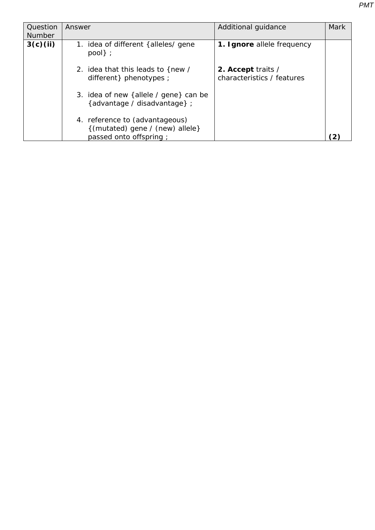| Question<br><b>Number</b> | Answer                                                                                      | Additional guidance                              | <b>Mark</b> |
|---------------------------|---------------------------------------------------------------------------------------------|--------------------------------------------------|-------------|
| 3(c)(ii)                  | 1. idea of different {alleles/gene<br>$pool$ :                                              | 1. Ignore allele frequency                       |             |
|                           | 2. idea that this leads to {new /<br>different} phenotypes ;                                | 2. Accept traits /<br>characteristics / features |             |
|                           | 3. idea of new {allele / gene} can be<br>{advantage / disadvantage} ;                       |                                                  |             |
|                           | 4. reference to (advantageous)<br>{(mutated) gene / (new) allele}<br>passed onto offspring; |                                                  |             |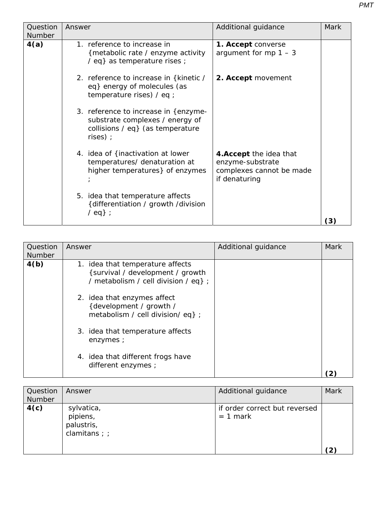| Question<br>Number | Answer                                                                                                                    | Additional guidance                                                                      | <b>Mark</b> |
|--------------------|---------------------------------------------------------------------------------------------------------------------------|------------------------------------------------------------------------------------------|-------------|
| 4(a)               | 1. reference to increase in<br>{metabolic rate / enzyme activity<br>/ eq} as temperature rises ;                          | 1. Accept converse<br>argument for mp $1 - 3$                                            |             |
|                    | 2. reference to increase in {kinetic /<br>eq} energy of molecules (as<br>temperature rises) / eq ;                        | 2. Accept movement                                                                       |             |
|                    | 3. reference to increase in {enzyme-<br>substrate complexes / energy of<br>collisions / eq} (as temperature<br>$rises)$ ; |                                                                                          |             |
|                    | 4. idea of {inactivation at lower<br>temperatures/ denaturation at<br>higher temperatures} of enzymes                     | 4. Accept the idea that<br>enzyme-substrate<br>complexes cannot be made<br>if denaturing |             |
|                    | 5. idea that temperature affects<br>{differentiation / growth /division<br>$/$ eq} ;                                      |                                                                                          | (3)         |

| Question<br><b>Number</b> | Answer                                                                                                       | Additional guidance | <b>Mark</b> |
|---------------------------|--------------------------------------------------------------------------------------------------------------|---------------------|-------------|
| 4(b)                      | 1. idea that temperature affects<br>{survival / development / growth<br>/ metabolism / cell division / eq} ; |                     |             |
|                           | 2. idea that enzymes affect<br>{development / growth /<br>metabolism / cell division/ eq} ;                  |                     |             |
|                           | 3. idea that temperature affects<br>enzymes ;                                                                |                     |             |
|                           | 4. idea that different frogs have<br>different enzymes ;                                                     |                     |             |

| Question<br>Number | Answer                                                | Additional guidance                         | <b>Mark</b> |
|--------------------|-------------------------------------------------------|---------------------------------------------|-------------|
| 4(c)               | sylvatica,<br>pipiens,<br>palustris,<br>$clamitans$ ; | if order correct but reversed<br>$= 1$ mark | (2)         |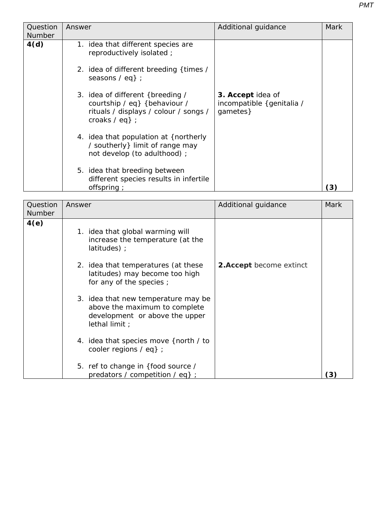| Question<br><b>Number</b> | Answer                                                                                                                           | Additional guidance                                         | Mark             |
|---------------------------|----------------------------------------------------------------------------------------------------------------------------------|-------------------------------------------------------------|------------------|
| 4(d)                      | 1. idea that different species are<br>reproductively isolated;                                                                   |                                                             |                  |
|                           | 2. idea of different breeding {times /<br>seasons $\ell$ eq} ;                                                                   |                                                             |                  |
|                           | 3. idea of different {breeding /<br>courtship / eq} {behaviour /<br>rituals / displays / colour / songs /<br>croaks $\ell$ eq} ; | 3. Accept idea of<br>incompatible {genitalia /<br>gametes } |                  |
|                           | 4. idea that population at {northerly<br>/ southerly limit of range may<br>not develop (to adulthood);                           |                                                             |                  |
|                           | 5. idea that breeding between<br>different species results in infertile<br>offspring;                                            |                                                             | $\left(3\right)$ |

| Question<br><b>Number</b> | Answer                                                                                                                   | Additional guidance             | Mark              |
|---------------------------|--------------------------------------------------------------------------------------------------------------------------|---------------------------------|-------------------|
| 4(e)                      | 1. idea that global warming will<br>increase the temperature (at the<br>$lattice)$ ;                                     |                                 |                   |
|                           | 2. idea that temperatures (at these<br>latitudes) may become too high<br>for any of the species;                         | <b>2. Accept</b> become extinct |                   |
|                           | 3. idea that new temperature may be<br>above the maximum to complete<br>development or above the upper<br>lethal limit ; |                                 |                   |
|                           | 4. idea that species move {north / to<br>cooler regions $\ell$ eq $\}$ ;                                                 |                                 |                   |
|                           | 5. ref to change in {food source /<br>predators / competition / eq} ;                                                    |                                 | $\left( 3\right)$ |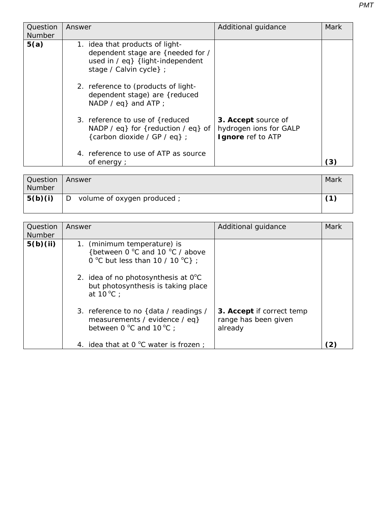| Question | Answer                                                                                                                              | Additional guidance                                                | <b>Mark</b>       |
|----------|-------------------------------------------------------------------------------------------------------------------------------------|--------------------------------------------------------------------|-------------------|
| Number   |                                                                                                                                     |                                                                    |                   |
| 5(a)     | 1. idea that products of light-<br>dependent stage are {needed for /<br>used in / eq} {light-independent<br>stage / Calvin cycle} ; |                                                                    |                   |
|          | 2. reference to (products of light-<br>dependent stage) are {reduced<br>NADP / eq } and ATP ;                                       |                                                                    |                   |
|          | 3. reference to use of {reduced}<br>NADP / eq} for { reduction / eq} of<br>{carbon dioxide / GP / eq} ;                             | 3. Accept source of<br>hydrogen ions for GALP<br>Ignore ref to ATP |                   |
|          | 4. reference to use of ATP as source<br>of energy ;                                                                                 |                                                                    | $\left( 3\right)$ |

| <b>Question</b><br>Number | <b>Answer</b>                   | Mark |
|---------------------------|---------------------------------|------|
| 5(b)(i)                   | volume of oxygen produced;<br>D | (1)  |

| Question<br><b>Number</b> | Answer                                                                                                                                                                                                           | Additional guidance                                          | <b>Mark</b> |
|---------------------------|------------------------------------------------------------------------------------------------------------------------------------------------------------------------------------------------------------------|--------------------------------------------------------------|-------------|
| 5(b)(ii)                  | 1. (minimum temperature) is<br>{between 0 °C and 10 °C / above<br>0 °C but less than 10 / 10 °C };<br>2. idea of no photosynthesis at $0^{\circ}$ C<br>but photosynthesis is taking place<br>at $10^{\circ}$ C : |                                                              |             |
|                           | 3. reference to no {data / readings /<br>measurements / evidence / eq}<br>between 0 °C and 10 °C :<br>4. idea that at $0^{\circ}$ C water is frozen;                                                             | 3. Accept if correct temp<br>range has been given<br>already |             |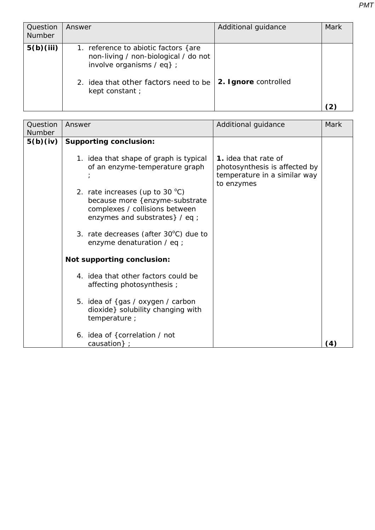| Question<br><b>Number</b> | Answer                                                                                                                                                                | Additional guidance  | <b>Mark</b>  |
|---------------------------|-----------------------------------------------------------------------------------------------------------------------------------------------------------------------|----------------------|--------------|
| 5(b)(iii)                 | 1. reference to abiotic factors {are<br>non-living / non-biological / do not<br>involve organisms / eq} ;<br>2. idea that other factors need to be<br>kept constant ; | 2. Ignore controlled | $\mathbf{2}$ |

| Question<br>Number | Answer                                                                                                                                          | Additional guidance                                                                                 | <b>Mark</b>       |
|--------------------|-------------------------------------------------------------------------------------------------------------------------------------------------|-----------------------------------------------------------------------------------------------------|-------------------|
| 5(b)(iv)           | <b>Supporting conclusion:</b>                                                                                                                   |                                                                                                     |                   |
|                    | 1. idea that shape of graph is typical<br>of an enzyme-temperature graph                                                                        | 1. idea that rate of<br>photosynthesis is affected by<br>temperature in a similar way<br>to enzymes |                   |
|                    | 2. rate increases (up to 30 $^{\circ}$ C)<br>because more {enzyme-substrate<br>complexes / collisions between<br>enzymes and substrates} / eq ; |                                                                                                     |                   |
|                    | 3. rate decreases (after 30°C) due to<br>enzyme denaturation / eq ;                                                                             |                                                                                                     |                   |
|                    | <b>Not supporting conclusion:</b>                                                                                                               |                                                                                                     |                   |
|                    | 4. idea that other factors could be<br>affecting photosynthesis ;                                                                               |                                                                                                     |                   |
|                    | 5. idea of {gas / oxygen / carbon<br>dioxide} solubility changing with<br>temperature;                                                          |                                                                                                     |                   |
|                    | 6. idea of {correlation / not<br>causation } ;                                                                                                  |                                                                                                     | $\left( 4\right)$ |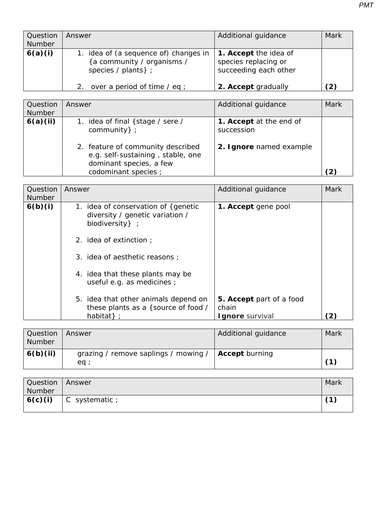| Question<br><b>Number</b> | Answer                                                                                      | Additional guidance                                                           | <b>Mark</b> |
|---------------------------|---------------------------------------------------------------------------------------------|-------------------------------------------------------------------------------|-------------|
| 6(a)(i)                   | 1. idea of (a sequence of) changes in<br>{a community / organisms /<br>species / plants } ; | <b>1. Accept</b> the idea of<br>species replacing or<br>succeeding each other |             |
|                           | over a period of time $\ell$ eq ;<br>2.                                                     | 2. Accept gradually                                                           | (2)         |

| Question      | Answer                                                                                                                                                                           | Additional guidance                                              | Mark |
|---------------|----------------------------------------------------------------------------------------------------------------------------------------------------------------------------------|------------------------------------------------------------------|------|
| <b>Number</b> |                                                                                                                                                                                  |                                                                  |      |
| 6(a)(ii)      | idea of final {stage / sere /<br>1.<br>community} ;<br>2. feature of community described<br>e.g. self-sustaining, stable, one<br>dominant species, a few<br>codominant species ; | 1. Accept at the end of<br>succession<br>2. Ignore named example | (2)  |

| Question<br><b>Number</b> | Answer                                                                                                                                                                                             | Additional guidance      | <b>Mark</b>  |
|---------------------------|----------------------------------------------------------------------------------------------------------------------------------------------------------------------------------------------------|--------------------------|--------------|
| 6(b)(i)                   | 1. idea of conservation of {genetic}<br>diversity / genetic variation /<br>biodiversity } ;<br>2. idea of extinction $\cdot$<br>3. idea of aesthetic reasons ;<br>4. idea that these plants may be | 1. Accept gene pool      |              |
|                           | useful e.g. as medicines ;<br>5. idea that other animals depend on                                                                                                                                 | 5. Accept part of a food |              |
|                           | these plants as a {source of food /                                                                                                                                                                | chain                    |              |
|                           | habitat $\}$ ;                                                                                                                                                                                     | <b>I gnore</b> survival  | $\mathbf{2}$ |

| Question<br><b>Number</b> | Answer                                                                 | Additional guidance | Mark |
|---------------------------|------------------------------------------------------------------------|---------------------|------|
| 6(b)(ii)                  | grazing / remove saplings / mowing / $ $ <b>Accept</b> burning<br>eq ; |                     | (1)  |

| Question | Answer         | Mark |
|----------|----------------|------|
| Number   |                |      |
| 6(c)(i)  | C systematic ; | 71`  |
|          |                |      |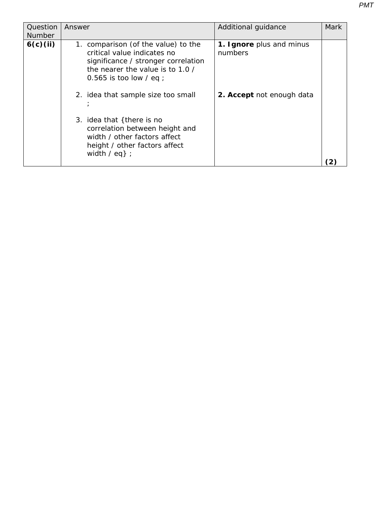| Question<br><b>Number</b> | Answer                                                                                                                                                                   | Additional guidance                 | Mark |
|---------------------------|--------------------------------------------------------------------------------------------------------------------------------------------------------------------------|-------------------------------------|------|
| 6(c)(ii)                  | 1. comparison (of the value) to the<br>critical value indicates no<br>significance / stronger correlation<br>the nearer the value is to 1.0 /<br>0.565 is too low / eq ; | 1. Ignore plus and minus<br>numbers |      |
|                           | 2. idea that sample size too small                                                                                                                                       | 2. Accept not enough data           |      |
|                           | 3. idea that {there is no<br>correlation between height and<br>width / other factors affect<br>height / other factors affect<br>width $/$ eq} ;                          |                                     |      |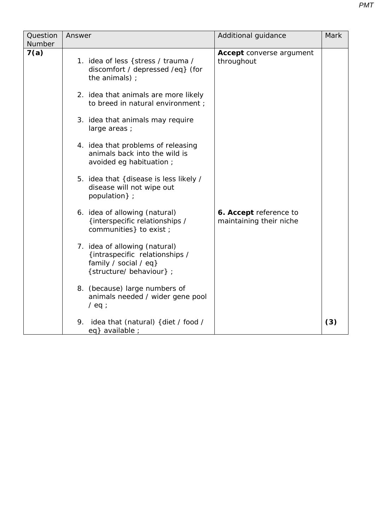| Question<br>Number | Answer |                                                                                                                    | Additional guidance                               | Mark |
|--------------------|--------|--------------------------------------------------------------------------------------------------------------------|---------------------------------------------------|------|
| 7(a)               |        | 1. idea of less { stress / trauma /<br>discomfort / depressed /eq} (for<br>the animals);                           | <b>Accept</b> converse argument<br>throughout     |      |
|                    |        | 2. idea that animals are more likely<br>to breed in natural environment ;                                          |                                                   |      |
|                    |        | 3. idea that animals may require<br>large areas ;                                                                  |                                                   |      |
|                    |        | 4. idea that problems of releasing<br>animals back into the wild is<br>avoided eg habituation;                     |                                                   |      |
|                    |        | 5. idea that {disease is less likely /<br>disease will not wipe out<br>population } ;                              |                                                   |      |
|                    |        | 6. idea of allowing (natural)<br>{interspecific relationships /<br>communities} to exist ;                         | 6. Accept reference to<br>maintaining their niche |      |
|                    |        | 7. idea of allowing (natural)<br>{intraspecific relationships /<br>family / social / eq}<br>{structure/behaviour}; |                                                   |      |
|                    |        | 8. (because) large numbers of<br>animals needed / wider gene pool<br>$/$ eq ;                                      |                                                   |      |
|                    |        | 9. idea that (natural) {diet / food /<br>eq} available ;                                                           |                                                   | (3)  |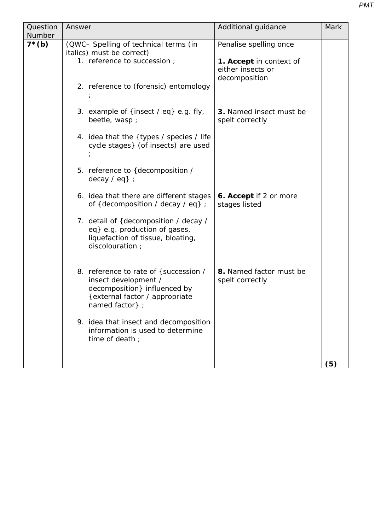| Question | Answer                                                                                                                                               | Additional guidance                               | Mark |
|----------|------------------------------------------------------------------------------------------------------------------------------------------------------|---------------------------------------------------|------|
| Number   |                                                                                                                                                      |                                                   |      |
| $7*(b)$  | (QWC- Spelling of technical terms (in                                                                                                                | Penalise spelling once                            |      |
|          | <i>italics</i> ) must be correct)<br>1. reference to succession;                                                                                     | 1. Accept in context of<br>either insects or      |      |
|          | 2. reference to (forensic) entomology                                                                                                                | decomposition                                     |      |
|          | 3. example of {insect / eq} e.g. fly,<br>beetle, wasp;                                                                                               | <b>3.</b> Named insect must be<br>spelt correctly |      |
|          | 4. idea that the {types / species / life<br>cycle stages} (of insects) are used                                                                      |                                                   |      |
|          | 5. reference to { decomposition /<br>$decay / eq$ } ;                                                                                                |                                                   |      |
|          | 6. idea that there are different stages<br>of { decomposition / decay / eq} ;                                                                        | 6. Accept if 2 or more<br>stages listed           |      |
|          | 7. detail of { decomposition / decay /<br>eq} e.g. production of gases,<br>liquefaction of tissue, bloating,<br>discolouration;                      |                                                   |      |
|          | 8. reference to rate of { succession /<br>insect development /<br>decomposition} influenced by<br>{external factor / appropriate<br>named factor } ; | 8. Named factor must be<br>spelt correctly        |      |
|          | 9. idea that insect and decomposition<br>information is used to determine<br>time of death;                                                          |                                                   |      |
|          |                                                                                                                                                      |                                                   | (5)  |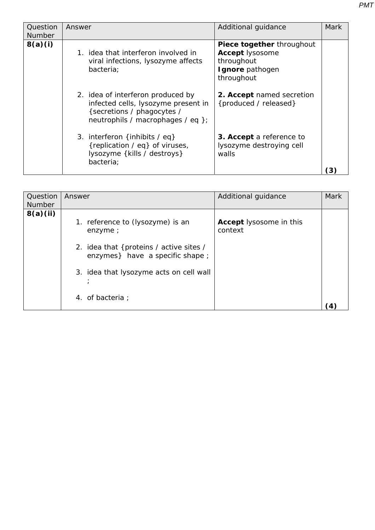| Question      | Answer                                                                                                                                      | Additional guidance                                                                         | Mark              |
|---------------|---------------------------------------------------------------------------------------------------------------------------------------------|---------------------------------------------------------------------------------------------|-------------------|
| <b>Number</b> |                                                                                                                                             |                                                                                             |                   |
| 8(a)(i)       | 1. idea that interferon involved in<br>viral infections, lysozyme affects<br>bacteria;                                                      | Piece together throughout<br>Accept lysosome<br>throughout<br>Ignore pathogen<br>throughout |                   |
|               | 2. idea of interferon produced by<br>infected cells, lysozyme present in<br>{secretions / phagocytes /<br>neutrophils / macrophages / eq }; | 2. Accept named secretion<br>{produced / released}                                          |                   |
|               | 3. interferon {inhibits / eq}<br>{replication / eq} of viruses,<br>lysozyme {kills / destroys}<br>bacteria;                                 | 3. Accept a reference to<br>lysozyme destroying cell<br>walls                               | $\left( 3\right)$ |

| Question<br><b>Number</b> | Answer                                                                      | Additional guidance                       | <b>Mark</b> |
|---------------------------|-----------------------------------------------------------------------------|-------------------------------------------|-------------|
| 8(a)(ii)                  | 1. reference to (lysozyme) is an<br>enzyme;                                 | <b>Accept lysosome in this</b><br>context |             |
|                           | 2. idea that { proteins / active sites /<br>enzymes} have a specific shape; |                                           |             |
|                           | 3. idea that lysozyme acts on cell wall                                     |                                           |             |
|                           | 4. of bacteria ;                                                            |                                           | 4           |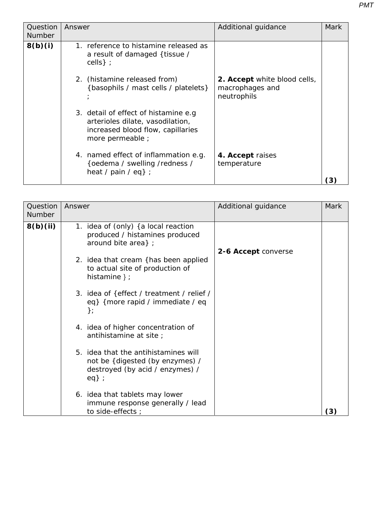| Question<br><b>Number</b> | Answer                                                                                                                             | Additional guidance                                            | Mark |
|---------------------------|------------------------------------------------------------------------------------------------------------------------------------|----------------------------------------------------------------|------|
| 8(b)(i)                   | 1. reference to histamine released as<br>a result of damaged {tissue /<br>cells $\}$ ;                                             |                                                                |      |
|                           | 2. (histamine released from)<br>{basophils / mast cells / platelets}                                                               | 2. Accept white blood cells,<br>macrophages and<br>neutrophils |      |
|                           | 3. detail of effect of histamine e.g.<br>arterioles dilate, vasodilation,<br>increased blood flow, capillaries<br>more permeable ; |                                                                |      |
|                           | 4. named effect of inflammation e.g.<br>{oedema / swelling / redness /<br>heat / pain / eq} ;                                      | 4. Accept raises<br>temperature                                |      |

| Question<br><b>Number</b> | Answer   |                                                                                                            | Additional guidance | Mark |
|---------------------------|----------|------------------------------------------------------------------------------------------------------------|---------------------|------|
| 8(b)(ii)                  |          | 1. idea of (only) {a local reaction<br>produced / histamines produced<br>around bite area $\}$ ;           | 2-6 Accept converse |      |
|                           |          | 2. idea that cream {has been applied<br>to actual site of production of<br>histamine $\}$ ;                |                     |      |
|                           | $\}$ ;   | 3. idea of { effect / treatment / relief /<br>eq} {more rapid / immediate / eq                             |                     |      |
|                           |          | 4. idea of higher concentration of<br>antihistamine at site;                                               |                     |      |
|                           | $eq$ } ; | 5. idea that the antihistamines will<br>not be {digested (by enzymes) /<br>destroyed (by acid / enzymes) / |                     |      |
|                           |          | 6. idea that tablets may lower<br>immune response generally / lead<br>to side-effects ;                    |                     | (3)  |